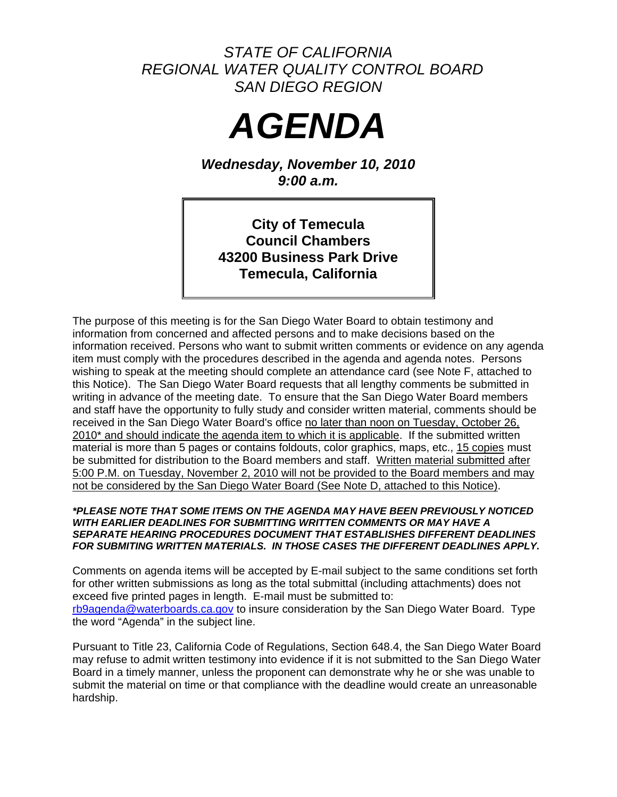# *STATE OF CALIFORNIA REGIONAL WATER QUALITY CONTROL BOARD SAN DIEGO REGION*



*Wednesday, November 10, 2010 9:00 a.m.* 

**City of Temecula Council Chambers 43200 Business Park Drive Temecula, California** 

The purpose of this meeting is for the San Diego Water Board to obtain testimony and information from concerned and affected persons and to make decisions based on the information received. Persons who want to submit written comments or evidence on any agenda item must comply with the procedures described in the agenda and agenda notes. Persons wishing to speak at the meeting should complete an attendance card (see Note F, attached to this Notice). The San Diego Water Board requests that all lengthy comments be submitted in writing in advance of the meeting date. To ensure that the San Diego Water Board members and staff have the opportunity to fully study and consider written material, comments should be received in the San Diego Water Board's office no later than noon on Tuesday, October 26, 2010<sup>\*</sup> and should indicate the agenda item to which it is applicable. If the submitted written material is more than 5 pages or contains foldouts, color graphics, maps, etc., 15 copies must be submitted for distribution to the Board members and staff. Written material submitted after 5:00 P.M. on Tuesday, November 2, 2010 will not be provided to the Board members and may not be considered by the San Diego Water Board (See Note D, attached to this Notice).

#### *\*PLEASE NOTE THAT SOME ITEMS ON THE AGENDA MAY HAVE BEEN PREVIOUSLY NOTICED WITH EARLIER DEADLINES FOR SUBMITTING WRITTEN COMMENTS OR MAY HAVE A SEPARATE HEARING PROCEDURES DOCUMENT THAT ESTABLISHES DIFFERENT DEADLINES FOR SUBMITING WRITTEN MATERIALS. IN THOSE CASES THE DIFFERENT DEADLINES APPLY.*

Comments on agenda items will be accepted by E-mail subject to the same conditions set forth for other written submissions as long as the total submittal (including attachments) does not exceed five printed pages in length. E-mail must be submitted to: [rb9agenda@waterboards.ca.gov](mailto:rb9agenda@waterboards.ca.gov) to insure consideration by the San Diego Water Board. Type the word "Agenda" in the subject line.

Pursuant to Title 23, California Code of Regulations, Section 648.4, the San Diego Water Board may refuse to admit written testimony into evidence if it is not submitted to the San Diego Water Board in a timely manner, unless the proponent can demonstrate why he or she was unable to submit the material on time or that compliance with the deadline would create an unreasonable hardship.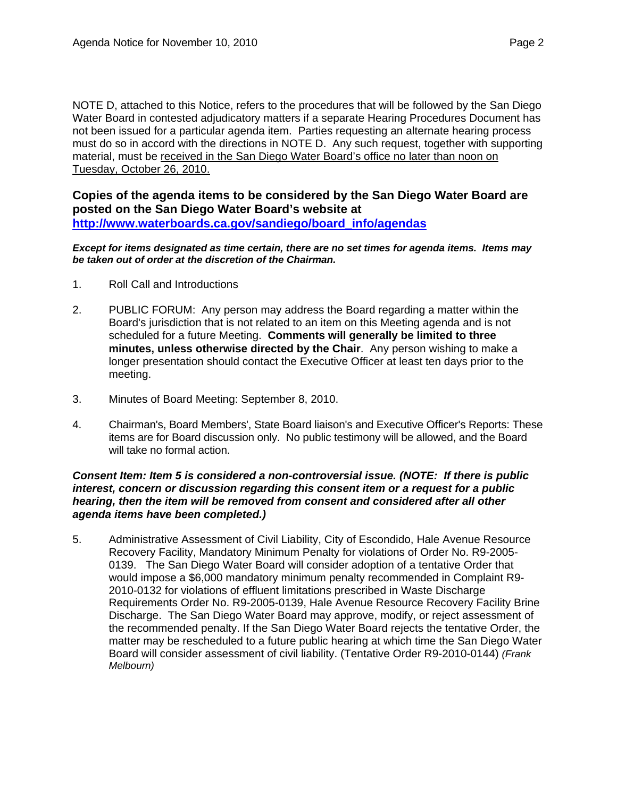NOTE D, attached to this Notice, refers to the procedures that will be followed by the San Diego Water Board in contested adjudicatory matters if a separate Hearing Procedures Document has not been issued for a particular agenda item. Parties requesting an alternate hearing process must do so in accord with the directions in NOTE D. Any such request, together with supporting material, must be received in the San Diego Water Board's office no later than noon on Tuesday, October 26, 2010.

**Copies of the agenda items to be considered by the San Diego Water Board are posted on the San Diego Water Board's website at [http://www.waterboards.ca.gov/sandiego/board\\_info/agendas](http://www.waterboards.ca.gov/sandiego/board_info/agendas)**

*Except for items designated as time certain, there are no set times for agenda items. Items may be taken out of order at the discretion of the Chairman.*

- 1. Roll Call and Introductions
- 2. PUBLIC FORUM: Any person may address the Board regarding a matter within the Board's jurisdiction that is not related to an item on this Meeting agenda and is not scheduled for a future Meeting. **Comments will generally be limited to three minutes, unless otherwise directed by the Chair**. Any person wishing to make a longer presentation should contact the Executive Officer at least ten days prior to the meeting.
- 3. Minutes of Board Meeting: September 8, 2010.
- 4. Chairman's, Board Members', State Board liaison's and Executive Officer's Reports: These items are for Board discussion only. No public testimony will be allowed, and the Board will take no formal action.

#### *Consent Item: Item 5 is considered a non-controversial issue. (NOTE: If there is public interest, concern or discussion regarding this consent item or a request for a public hearing, then the item will be removed from consent and considered after all other agenda items have been completed.)*

5. Administrative Assessment of Civil Liability, City of Escondido, Hale Avenue Resource Recovery Facility, Mandatory Minimum Penalty for violations of Order No. R9-2005- 0139. The San Diego Water Board will consider adoption of a tentative Order that would impose a \$6,000 mandatory minimum penalty recommended in Complaint R9- 2010-0132 for violations of effluent limitations prescribed in Waste Discharge Requirements Order No. R9-2005-0139, Hale Avenue Resource Recovery Facility Brine Discharge. The San Diego Water Board may approve, modify, or reject assessment of the recommended penalty. If the San Diego Water Board rejects the tentative Order, the matter may be rescheduled to a future public hearing at which time the San Diego Water Board will consider assessment of civil liability. (Tentative Order R9-2010-0144) *(Frank Melbourn)*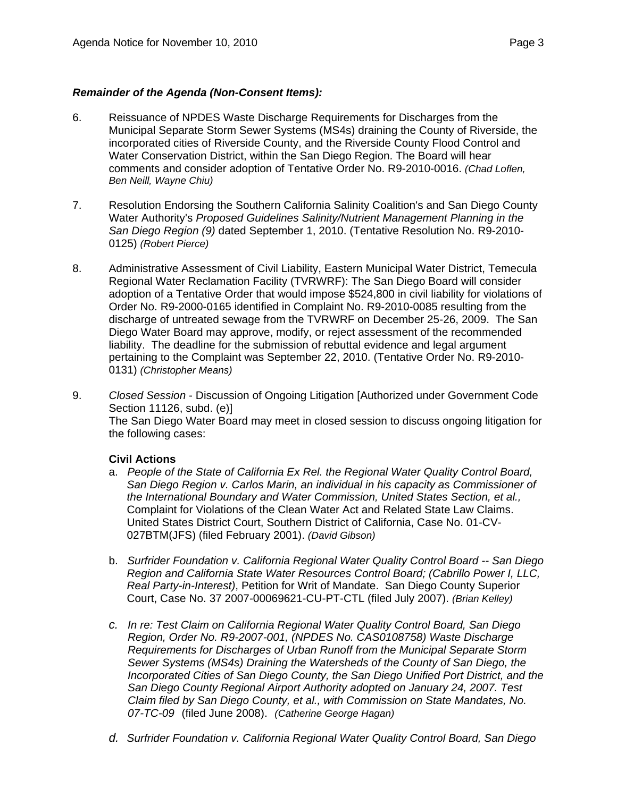### *Remainder of the Agenda (Non-Consent Items):*

- 6. Reissuance of NPDES Waste Discharge Requirements for Discharges from the Municipal Separate Storm Sewer Systems (MS4s) draining the County of Riverside, the incorporated cities of Riverside County, and the Riverside County Flood Control and Water Conservation District, within the San Diego Region. The Board will hear comments and consider adoption of Tentative Order No. R9-2010-0016. *(Chad Loflen, Ben Neill, Wayne Chiu)*
- 7. Resolution Endorsing the Southern California Salinity Coalition's and San Diego County Water Authority's *Proposed Guidelines Salinity/Nutrient Management Planning in the San Diego Region (9)* dated September 1, 2010. (Tentative Resolution No. R9-2010- 0125) *(Robert Pierce)*
- 8. Administrative Assessment of Civil Liability, Eastern Municipal Water District, Temecula Regional Water Reclamation Facility (TVRWRF): The San Diego Board will consider adoption of a Tentative Order that would impose \$524,800 in civil liability for violations of Order No. R9-2000-0165 identified in Complaint No. R9-2010-0085 resulting from the discharge of untreated sewage from the TVRWRF on December 25-26, 2009. The San Diego Water Board may approve, modify, or reject assessment of the recommended liability. The deadline for the submission of rebuttal evidence and legal argument pertaining to the Complaint was September 22, 2010. (Tentative Order No. R9-2010- 0131) *(Christopher Means)*
- 9. *Closed Session* Discussion of Ongoing Litigation [Authorized under Government Code Section 11126, subd. (e)] The San Diego Water Board may meet in closed session to discuss ongoing litigation for the following cases:

### **Civil Actions**

- a. *People of the State of California Ex Rel. the Regional Water Quality Control Board, San Diego Region v. Carlos Marin, an individual in his capacity as Commissioner of the International Boundary and Water Commission, United States Section, et al.,* Complaint for Violations of the Clean Water Act and Related State Law Claims. United States District Court, Southern District of California, Case No. 01-CV-027BTM(JFS) (filed February 2001). *(David Gibson)*
- b. *Surfrider Foundation v. California Regional Water Quality Control Board -- San Diego Region and California State Water Resources Control Board; (Cabrillo Power I, LLC, Real Party-in-Interest)*, Petition for Writ of Mandate. San Diego County Superior Court, Case No. 37 2007-00069621-CU-PT-CTL (filed July 2007). *(Brian Kelley)*
- *c. In re: Test Claim on California Regional Water Quality Control Board, San Diego Region, Order No. R9-2007-001, (NPDES No. CAS0108758) Waste Discharge Requirements for Discharges of Urban Runoff from the Municipal Separate Storm Sewer Systems (MS4s) Draining the Watersheds of the County of San Diego, the Incorporated Cities of San Diego County, the San Diego Unified Port District, and the San Diego County Regional Airport Authority adopted on January 24, 2007. Test Claim filed by San Diego County, et al., with Commission on State Mandates, No. 07-TC-09* (filed June 2008). *(Catherine George Hagan)*
- *d. Surfrider Foundation v. California Regional Water Quality Control Board, San Diego*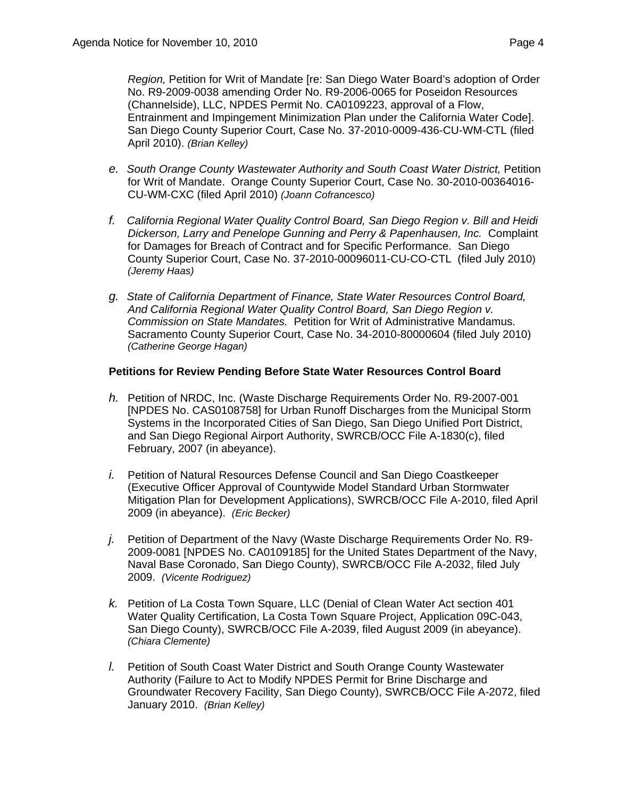*Region,* Petition for Writ of Mandate [re: San Diego Water Board's adoption of Order No. R9-2009-0038 amending Order No. R9-2006-0065 for Poseidon Resources (Channelside), LLC, NPDES Permit No. CA0109223, approval of a Flow, Entrainment and Impingement Minimization Plan under the California Water Code]. San Diego County Superior Court, Case No. 37-2010-0009-436-CU-WM-CTL (filed April 2010). *(Brian Kelley)*

- *e. South Orange County Wastewater Authority and South Coast Water District,* Petition for Writ of Mandate. Orange County Superior Court, Case No. 30-2010-00364016- CU-WM-CXC (filed April 2010) *(Joann Cofrancesco)*
- *f. California Regional Water Quality Control Board, San Diego Region v. Bill and Heidi Dickerson, Larry and Penelope Gunning and Perry & Papenhausen, Inc.* Complaint for Damages for Breach of Contract and for Specific Performance. San Diego County Superior Court, Case No. 37-2010-00096011-CU-CO-CTL (filed July 2010) *(Jeremy Haas)*
- *g. State of California Department of Finance, State Water Resources Control Board, And California Regional Water Quality Control Board, San Diego Region v. Commission on State Mandates.* Petition for Writ of Administrative Mandamus. Sacramento County Superior Court, Case No. 34-2010-80000604 (filed July 2010) *(Catherine George Hagan)*

#### **Petitions for Review Pending Before State Water Resources Control Board**

- *h.* Petition of NRDC, Inc. (Waste Discharge Requirements Order No. R9-2007-001 [NPDES No. CAS0108758] for Urban Runoff Discharges from the Municipal Storm Systems in the Incorporated Cities of San Diego, San Diego Unified Port District, and San Diego Regional Airport Authority, SWRCB/OCC File A-1830(c), filed February, 2007 (in abeyance).
- *i.* Petition of Natural Resources Defense Council and San Diego Coastkeeper (Executive Officer Approval of Countywide Model Standard Urban Stormwater Mitigation Plan for Development Applications), SWRCB/OCC File A-2010, filed April 2009 (in abeyance). *(Eric Becker)*
- *j.* Petition of Department of the Navy (Waste Discharge Requirements Order No. R9- 2009-0081 [NPDES No. CA0109185] for the United States Department of the Navy, Naval Base Coronado, San Diego County), SWRCB/OCC File A-2032, filed July 2009. *(Vicente Rodriguez)*
- *k.* Petition of La Costa Town Square, LLC (Denial of Clean Water Act section 401 Water Quality Certification, La Costa Town Square Project, Application 09C-043, San Diego County), SWRCB/OCC File A-2039, filed August 2009 (in abeyance). *(Chiara Clemente)*
- *l.* Petition of South Coast Water District and South Orange County Wastewater Authority (Failure to Act to Modify NPDES Permit for Brine Discharge and Groundwater Recovery Facility, San Diego County), SWRCB/OCC File A-2072, filed January 2010. *(Brian Kelley)*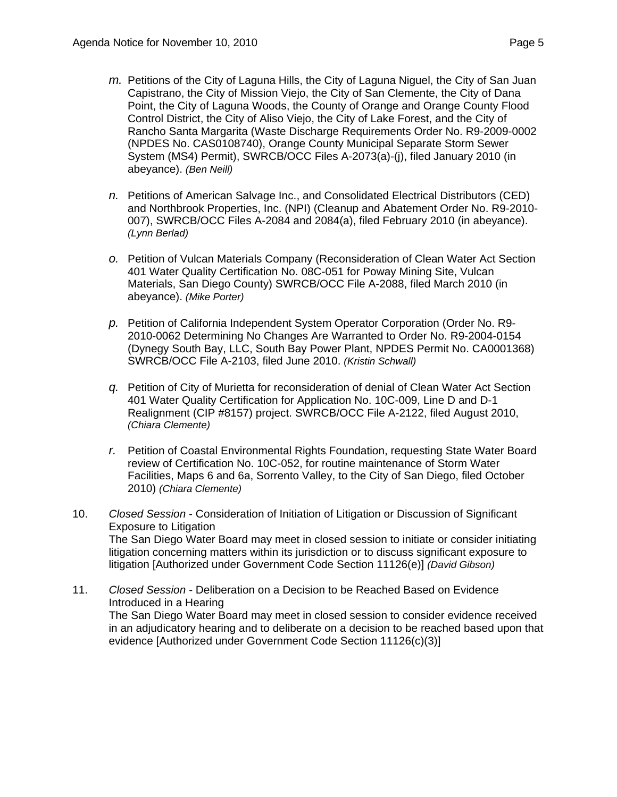- *m.* Petitions of the City of Laguna Hills, the City of Laguna Niguel, the City of San Juan Capistrano, the City of Mission Viejo, the City of San Clemente, the City of Dana Point, the City of Laguna Woods, the County of Orange and Orange County Flood Control District, the City of Aliso Viejo, the City of Lake Forest, and the City of Rancho Santa Margarita (Waste Discharge Requirements Order No. R9-2009-0002 (NPDES No. CAS0108740), Orange County Municipal Separate Storm Sewer System (MS4) Permit), SWRCB/OCC Files A-2073(a)-(j), filed January 2010 (in abeyance). *(Ben Neill)*
- *n.* Petitions of American Salvage Inc., and Consolidated Electrical Distributors (CED) and Northbrook Properties, Inc. (NPI) (Cleanup and Abatement Order No. R9-2010- 007), SWRCB/OCC Files A-2084 and 2084(a), filed February 2010 (in abeyance). *(Lynn Berlad)*
- *o.* Petition of Vulcan Materials Company (Reconsideration of Clean Water Act Section 401 Water Quality Certification No. 08C-051 for Poway Mining Site, Vulcan Materials, San Diego County) SWRCB/OCC File A-2088, filed March 2010 (in abeyance). *(Mike Porter)*
- *p.* Petition of California Independent System Operator Corporation (Order No. R9- 2010-0062 Determining No Changes Are Warranted to Order No. R9-2004-0154 (Dynegy South Bay, LLC, South Bay Power Plant, NPDES Permit No. CA0001368) SWRCB/OCC File A-2103, filed June 2010. *(Kristin Schwall)*
- *q.* Petition of City of Murietta for reconsideration of denial of Clean Water Act Section 401 Water Quality Certification for Application No. 10C-009, Line D and D-1 Realignment (CIP #8157) project. SWRCB/OCC File A-2122, filed August 2010, *(Chiara Clemente)*
- *r.* Petition of Coastal Environmental Rights Foundation, requesting State Water Board review of Certification No. 10C-052, for routine maintenance of Storm Water Facilities, Maps 6 and 6a, Sorrento Valley, to the City of San Diego, filed October 2010) *(Chiara Clemente)*
- 10. *Closed Session* Consideration of Initiation of Litigation or Discussion of Significant Exposure to Litigation The San Diego Water Board may meet in closed session to initiate or consider initiating litigation concerning matters within its jurisdiction or to discuss significant exposure to litigation [Authorized under Government Code Section 11126(e)] *(David Gibson)*
- 11. *Closed Session* Deliberation on a Decision to be Reached Based on Evidence Introduced in a Hearing The San Diego Water Board may meet in closed session to consider evidence received in an adjudicatory hearing and to deliberate on a decision to be reached based upon that evidence [Authorized under Government Code Section 11126(c)(3)]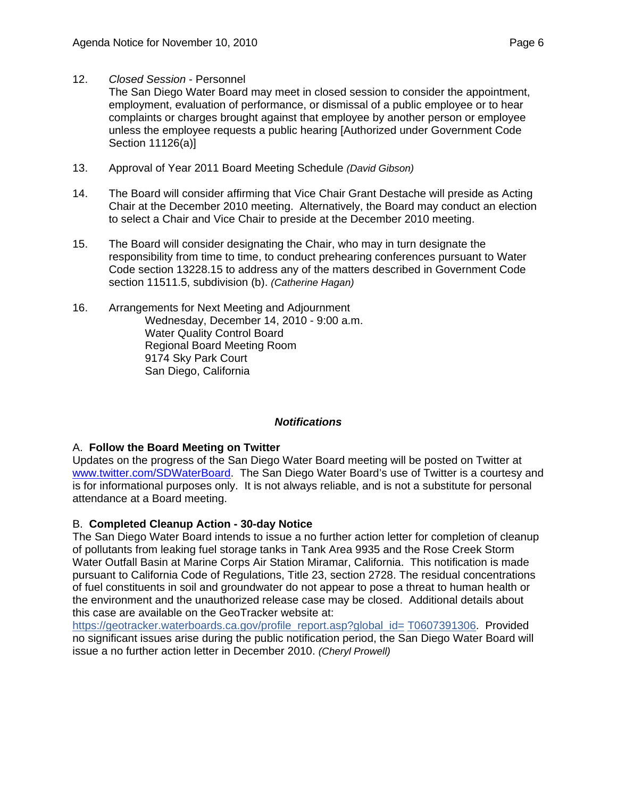12. *Closed Session* - Personnel

 The San Diego Water Board may meet in closed session to consider the appointment, employment, evaluation of performance, or dismissal of a public employee or to hear complaints or charges brought against that employee by another person or employee unless the employee requests a public hearing [Authorized under Government Code Section 11126(a)]

- 13. Approval of Year 2011 Board Meeting Schedule *(David Gibson)*
- 14. The Board will consider affirming that Vice Chair Grant Destache will preside as Acting Chair at the December 2010 meeting. Alternatively, the Board may conduct an election to select a Chair and Vice Chair to preside at the December 2010 meeting.
- 15. The Board will consider designating the Chair, who may in turn designate the responsibility from time to time, to conduct prehearing conferences pursuant to Water Code section 13228.15 to address any of the matters described in Government Code section 11511.5, subdivision (b). *(Catherine Hagan)*
- 16. Arrangements for Next Meeting and Adjournment Wednesday, December 14, 2010 - 9:00 a.m. Water Quality Control Board Regional Board Meeting Room 9174 Sky Park Court San Diego, California

### *Notifications*

### A. **Follow the Board Meeting on Twitter**

Updates on the progress of the San Diego Water Board meeting will be posted on Twitter at [www.twitter.com/SDWaterBoard.](http://www.twitter.com/SDWaterBoard) The San Diego Water Board's use of Twitter is a courtesy and is for informational purposes only. It is not always reliable, and is not a substitute for personal attendance at a Board meeting.

### B. **Completed Cleanup Action - 30-day Notice**

The San Diego Water Board intends to issue a no further action letter for completion of cleanup of pollutants from leaking fuel storage tanks in Tank Area 9935 and the Rose Creek Storm Water Outfall Basin at Marine Corps Air Station Miramar, California. This notification is made pursuant to California Code of Regulations, Title 23, section 2728. The residual concentrations of fuel constituents in soil and groundwater do not appear to pose a threat to human health or the environment and the unauthorized release case may be closed. Additional details about this case are available on the GeoTracker website at:

[https://geotracker.waterboards.ca.gov/profile\\_report.asp?global\\_id=](https://geotracker.waterboards.ca.gov/profile_report.asp?global_id=T0607326469) T0607391306. Provided no significant issues arise during the public notification period, the San Diego Water Board will issue a no further action letter in December 2010. *(Cheryl Prowell)*